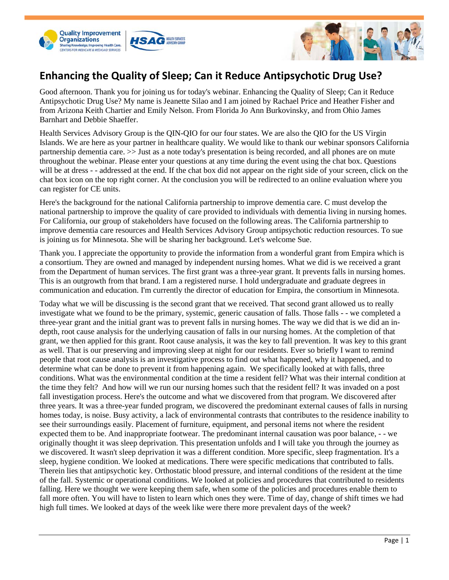



## **Enhancing the Quality of Sleep; Can it Reduce Antipsychotic Drug Use?**

Good afternoon. Thank you for joining us for today's webinar. Enhancing the Quality of Sleep; Can it Reduce Antipsychotic Drug Use? My name is Jeanette Silao and I am joined by Rachael Price and Heather Fisher and from Arizona Keith Chartier and Emily Nelson. From Florida Jo Ann Burkovinsky, and from Ohio James Barnhart and Debbie Shaeffer.

Health Services Advisory Group is the QIN-QIO for our four states. We are also the QIO for the US Virgin Islands. We are here as your partner in healthcare quality. We would like to thank our webinar sponsors California partnership dementia care. >> Just as a note today's presentation is being recorded, and all phones are on mute throughout the webinar. Please enter your questions at any time during the event using the chat box. Questions will be at dress - - addressed at the end. If the chat box did not appear on the right side of your screen, click on the chat box icon on the top right corner. At the conclusion you will be redirected to an online evaluation where you can register for CE units.

Here's the background for the national California partnership to improve dementia care. C must develop the national partnership to improve the quality of care provided to individuals with dementia living in nursing homes. For California, our group of stakeholders have focused on the following areas. The California partnership to improve dementia care resources and Health Services Advisory Group antipsychotic reduction resources. To sue is joining us for Minnesota. She will be sharing her background. Let's welcome Sue.

Thank you. I appreciate the opportunity to provide the information from a wonderful grant from Empira which is a consortium. They are owned and managed by independent nursing homes. What we did is we received a grant from the Department of human services. The first grant was a three-year grant. It prevents falls in nursing homes. This is an outgrowth from that brand. I am a registered nurse. I hold undergraduate and graduate degrees in communication and education. I'm currently the director of education for Empira, the consortium in Minnesota.

Today what we will be discussing is the second grant that we received. That second grant allowed us to really investigate what we found to be the primary, systemic, generic causation of falls. Those falls - - we completed a three-year grant and the initial grant was to prevent falls in nursing homes. The way we did that is we did an indepth, root cause analysis for the underlying causation of falls in our nursing homes. At the completion of that grant, we then applied for this grant. Root cause analysis, it was the key to fall prevention. It was key to this grant as well. That is our preserving and improving sleep at night for our residents. Ever so briefly I want to remind people that root cause analysis is an investigative process to find out what happened, why it happened, and to determine what can be done to prevent it from happening again. We specifically looked at with falls, three conditions. What was the environmental condition at the time a resident fell? What was their internal condition at the time they felt? And how will we run our nursing homes such that the resident fell? It was invaded on a post fall investigation process. Here's the outcome and what we discovered from that program. We discovered after three years. It was a three-year funded program, we discovered the predominant external causes of falls in nursing homes today, is noise. Busy activity, a lack of environmental contrasts that contributes to the residence inability to see their surroundings easily. Placement of furniture, equipment, and personal items not where the resident expected them to be. And inappropriate footwear. The predominant internal causation was poor balance, - - we originally thought it was sleep deprivation. This presentation unfolds and I will take you through the journey as we discovered. It wasn't sleep deprivation it was a different condition. More specific, sleep fragmentation. It's a sleep, hygiene condition. We looked at medications. There were specific medications that contributed to falls. Therein lies that antipsychotic key. Orthostatic blood pressure, and internal conditions of the resident at the time of the fall. Systemic or operational conditions. We looked at policies and procedures that contributed to residents falling. Here we thought we were keeping them safe, when some of the policies and procedures enable them to fall more often. You will have to listen to learn which ones they were. Time of day, change of shift times we had high full times. We looked at days of the week like were there more prevalent days of the week?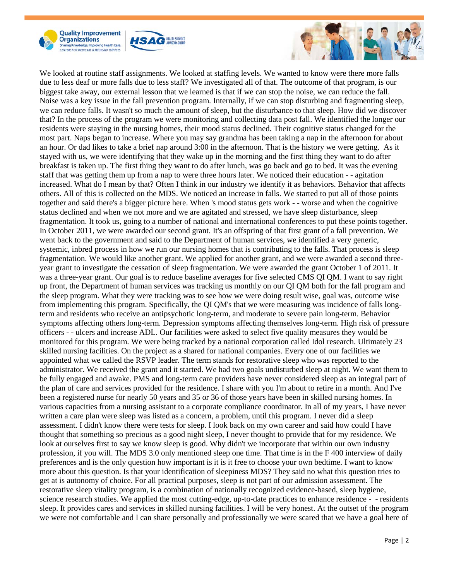





We looked at routine staff assignments. We looked at staffing levels. We wanted to know were there more falls due to less deaf or more falls due to less staff? We investigated all of that. The outcome of that program, is our biggest take away, our external lesson that we learned is that if we can stop the noise, we can reduce the fall. Noise was a key issue in the fall prevention program. Internally, if we can stop disturbing and fragmenting sleep, we can reduce falls. It wasn't so much the amount of sleep, but the disturbance to that sleep. How did we discover that? In the process of the program we were monitoring and collecting data post fall. We identified the longer our residents were staying in the nursing homes, their mood status declined. Their cognitive status changed for the most part. Naps began to increase. Where you may say grandma has been taking a nap in the afternoon for about an hour. Or dad likes to take a brief nap around 3:00 in the afternoon. That is the history we were getting. As it stayed with us, we were identifying that they wake up in the morning and the first thing they want to do after breakfast is taken up. The first thing they want to do after lunch, was go back and go to bed. It was the evening staff that was getting them up from a nap to were three hours later. We noticed their education - - agitation increased. What do I mean by that? Often I think in our industry we identify it as behaviors. Behavior that affects others. All of this is collected on the MDS. We noticed an increase in falls. We started to put all of those points together and said there's a bigger picture here. When 's mood status gets work - - worse and when the cognitive status declined and when we not more and we are agitated and stressed, we have sleep disturbance, sleep fragmentation. It took us, going to a number of national and international conferences to put these points together. In October 2011, we were awarded our second grant. It's an offspring of that first grant of a fall prevention. We went back to the government and said to the Department of human services, we identified a very generic, systemic, inbred process in how we run our nursing homes that is contributing to the falls. That process is sleep fragmentation. We would like another grant. We applied for another grant, and we were awarded a second threeyear grant to investigate the cessation of sleep fragmentation. We were awarded the grant October 1 of 2011. It was a three-year grant. Our goal is to reduce baseline averages for five selected CMS QI QM. I want to say right up front, the Department of human services was tracking us monthly on our QI QM both for the fall program and the sleep program. What they were tracking was to see how we were doing result wise, goal was, outcome wise from implementing this program. Specifically, the QI QM's that we were measuring was incidence of falls longterm and residents who receive an antipsychotic long-term, and moderate to severe pain long-term. Behavior symptoms affecting others long-term. Depression symptoms affecting themselves long-term. High risk of pressure officers - - ulcers and increase ADL. Our facilities were asked to select five quality measures they would be monitored for this program. We were being tracked by a national corporation called Idol research. Ultimately 23 skilled nursing facilities. On the project as a shared for national companies. Every one of our facilities we appointed what we called the RSVP leader. The term stands for restorative sleep who was reported to the administrator. We received the grant and it started. We had two goals undisturbed sleep at night. We want them to be fully engaged and awake. PMS and long-term care providers have never considered sleep as an integral part of the plan of care and services provided for the residence. I share with you I'm about to retire in a month. And I've been a registered nurse for nearly 50 years and 35 or 36 of those years have been in skilled nursing homes. In various capacities from a nursing assistant to a corporate compliance coordinator. In all of my years, I have never written a care plan were sleep was listed as a concern, a problem, until this program. I never did a sleep assessment. I didn't know there were tests for sleep. I look back on my own career and said how could I have thought that something so precious as a good night sleep, I never thought to provide that for my residence. We look at ourselves first to say we know sleep is good. Why didn't we incorporate that within our own industry profession, if you will. The MDS 3.0 only mentioned sleep one time. That time is in the F 400 interview of daily preferences and is the only question how important is it is it free to choose your own bedtime. I want to know more about this question. Is that your identification of sleepiness MDS? They said no what this question tries to get at is autonomy of choice. For all practical purposes, sleep is not part of our admission assessment. The restorative sleep vitality program, is a combination of nationally recognized evidence-based, sleep hygiene, science research studies. We applied the most cutting-edge, up-to-date practices to enhance residence - - residents sleep. It provides cares and services in skilled nursing facilities. I will be very honest. At the outset of the program we were not comfortable and I can share personally and professionally we were scared that we have a goal here of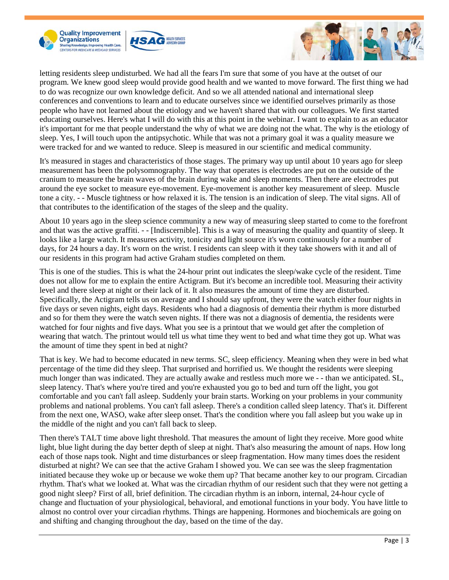





letting residents sleep undisturbed. We had all the fears I'm sure that some of you have at the outset of our program. We knew good sleep would provide good health and we wanted to move forward. The first thing we had to do was recognize our own knowledge deficit. And so we all attended national and international sleep conferences and conventions to learn and to educate ourselves since we identified ourselves primarily as those people who have not learned about the etiology and we haven't shared that with our colleagues. We first started educating ourselves. Here's what I will do with this at this point in the webinar. I want to explain to as an educator it's important for me that people understand the why of what we are doing not the what. The why is the etiology of sleep. Yes, I will touch upon the antipsychotic. While that was not a primary goal it was a quality measure we were tracked for and we wanted to reduce. Sleep is measured in our scientific and medical community.

It's measured in stages and characteristics of those stages. The primary way up until about 10 years ago for sleep measurement has been the polysomnography. The way that operates is electrodes are put on the outside of the cranium to measure the brain waves of the brain during wake and sleep moments. Then there are electrodes put around the eye socket to measure eye-movement. Eye-movement is another key measurement of sleep. Muscle tone a city. - - Muscle tightness or how relaxed it is. The tension is an indication of sleep. The vital signs. All of that contributes to the identification of the stages of the sleep and the quality.

About 10 years ago in the sleep science community a new way of measuring sleep started to come to the forefront and that was the active graffiti. - - [Indiscernible]. This is a way of measuring the quality and quantity of sleep. It looks like a large watch. It measures activity, tonicity and light source it's worn continuously for a number of days, for 24 hours a day. It's worn on the wrist. I residents can sleep with it they take showers with it and all of our residents in this program had active Graham studies completed on them.

This is one of the studies. This is what the 24-hour print out indicates the sleep/wake cycle of the resident. Time does not allow for me to explain the entire Actigram. But it's become an incredible tool. Measuring their activity level and there sleep at night or their lack of it. It also measures the amount of time they are disturbed. Specifically, the Actigram tells us on average and I should say upfront, they were the watch either four nights in five days or seven nights, eight days. Residents who had a diagnosis of dementia their rhythm is more disturbed and so for them they were the watch seven nights. If there was not a diagnosis of dementia, the residents were watched for four nights and five days. What you see is a printout that we would get after the completion of wearing that watch. The printout would tell us what time they went to bed and what time they got up. What was the amount of time they spent in bed at night?

That is key. We had to become educated in new terms. SC, sleep efficiency. Meaning when they were in bed what percentage of the time did they sleep. That surprised and horrified us. We thought the residents were sleeping much longer than was indicated. They are actually awake and restless much more we - - than we anticipated. SL, sleep latency. That's where you're tired and you're exhausted you go to bed and turn off the light, you got comfortable and you can't fall asleep. Suddenly your brain starts. Working on your problems in your community problems and national problems. You can't fall asleep. There's a condition called sleep latency. That's it. Different from the next one, WASO, wake after sleep onset. That's the condition where you fall asleep but you wake up in the middle of the night and you can't fall back to sleep.

Then there's TALT time above light threshold. That measures the amount of light they receive. More good white light, blue light during the day better depth of sleep at night. That's also measuring the amount of naps. How long each of those naps took. Night and time disturbances or sleep fragmentation. How many times does the resident disturbed at night? We can see that the active Graham I showed you. We can see was the sleep fragmentation initiated because they woke up or because we woke them up? That became another key to our program. Circadian rhythm. That's what we looked at. What was the circadian rhythm of our resident such that they were not getting a good night sleep? First of all, brief definition. The circadian rhythm is an inborn, internal, 24-hour cycle of change and fluctuation of your physiological, behavioral, and emotional functions in your body. You have little to almost no control over your circadian rhythms. Things are happening. Hormones and biochemicals are going on and shifting and changing throughout the day, based on the time of the day.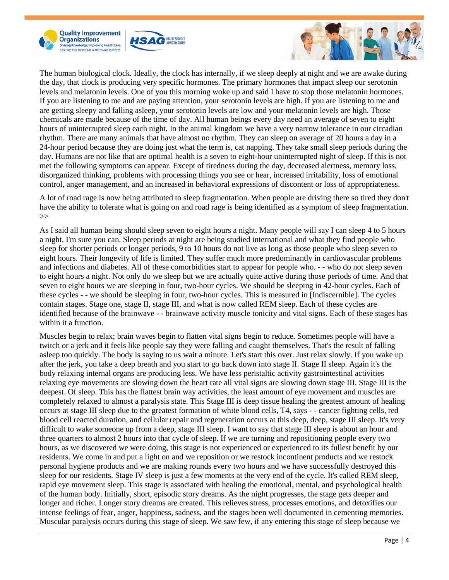





The human biological clock. Ideally, the clock has internally, if we sleep deeply at night and we are awake during the day, that clock is producing very specific hormones. The primary hormones that impact sleep our serotonin levels and melatonin levels. One of you this morning woke up and said I have to stop those melatonin hormones. If you are listening to me and are paying attention, your serotonin levels are high. If you are listening to me and are getting sleepy and falling asleep, your serotonin levels are low and your melatonin levels are high. Those chemicals are made because of the time of day. All human beings every day need an average of seven to eight hours of uninterrupted sleep each night. In the animal kingdom we have a very narrow tolerance in our circadian rhythm. There are many animals that have almost no rhythm. They can sleep on average of 20 hours a day in a 24-hour period because they are doing just what the term is, cat napping. They take small sleep periods during the day. Humans are not like that are optimal health is a seven to eight-hour uninterrupted night of sleep. If this is not met the following symptoms can appear. Except of tiredness during the day, decreased alertness, memory loss, disorganized thinking, problems with processing things you see or hear, increased irritability, loss of emotional control, anger management, and an increased in behavioral expressions of discontent or loss of appropriateness.

A lot of road rage is now being attributed to sleep fragmentation. When people are driving there so tired they don't have the ability to tolerate what is going on and road rage is being identified as a symptom of sleep fragmentation.  $\gg$ 

As I said all human being should sleep seven to eight hours a night. Many people will say I can sleep 4 to 5 hours a night. I'm sure you can. Sleep periods at night are being studied international and what they find people who sleep for shorter periods or longer periods, 9 to 10 hours do not live as long as those people who sleep seven to eight hours. Their longevity of life is limited. They suffer much more predominantly in cardiovascular problems and infections and diabetes. All of these comorbidities start to appear for people who. - - who do not sleep seven to eight hours a night. Not only do we sleep but we are actually quite active during those periods of time. And that seven to eight hours we are sleeping in four, two-hour cycles. We should be sleeping in 42-hour cycles. Each of these cycles - - we should be sleeping in four, two-hour cycles. This is measured in [Indiscernible]. The cycles contain stages. Stage one, stage II, stage III, and what is now called REM sleep. Each of these cycles are identified because of the brainwave - - brainwave activity muscle tonicity and vital signs. Each of these stages has within it a function.

Muscles begin to relax; brain waves begin to flatten vital signs begin to reduce. Sometimes people will have a twitch or a jerk and it feels like people say they were falling and caught themselves. That's the result of falling asleep too quickly. The body is saying to us wait a minute. Let's start this over. Just relax slowly. If you wake up after the jerk, you take a deep breath and you start to go back down into stage II. Stage II sleep. Again it's the body relaxing internal organs are producing less. We have less peristaltic activity gastrointestinal activities relaxing eye movements are slowing down the heart rate all vital signs are slowing down stage III. Stage III is the deepest. Of sleep. This has the flattest brain way activities, the least amount of eye movement and muscles are completely relaxed to almost a paralysis state. This Stage III is deep tissue healing the greatest amount of healing occurs at stage III sleep due to the greatest formation of white blood cells, T4, says - - cancer fighting cells, red blood cell reacted duration, and cellular repair and regeneration occurs at this deep, deep, stage III sleep. It's very difficult to wake someone up from a deep, stage III sleep. I want to say that stage III sleep is about an hour and three quarters to almost 2 hours into that cycle of sleep. If we are turning and repositioning people every two hours, as we discovered we were doing, this stage is not experienced or experienced to its fullest benefit by our residents. We come in and put a light on and we reposition or we restock incontinent products and we restock personal hygiene products and we are making rounds every two hours and we have successfully destroyed this sleep for our residents. Stage IV sleep is just a few moments at the very end of the cycle. It's called REM sleep, rapid eye movement sleep. This stage is associated with healing the emotional, mental, and psychological health of the human body. Initially, short, episodic story dreams. As the night progresses, the stage gets deeper and longer and richer. Longer story dreams are created. This relieves stress, processes emotions, and detoxifies our intense feelings of fear, anger, happiness, sadness, and the stages been well documented in cementing memories. Muscular paralysis occurs during this stage of sleep. We saw few, if any entering this stage of sleep because we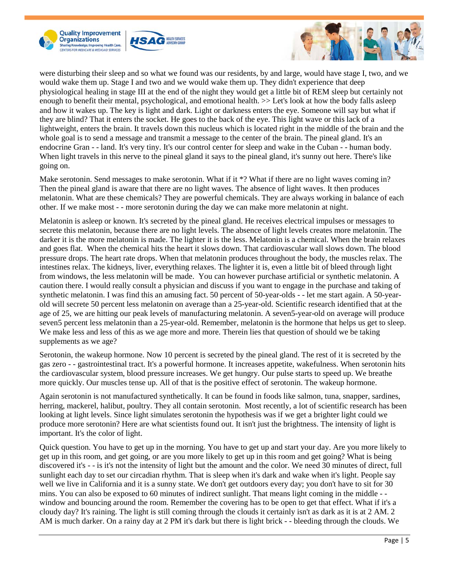





were disturbing their sleep and so what we found was our residents, by and large, would have stage I, two, and we would wake them up. Stage I and two and we would wake them up. They didn't experience that deep physiological healing in stage III at the end of the night they would get a little bit of REM sleep but certainly not enough to benefit their mental, psychological, and emotional health.  $\gg$  Let's look at how the body falls asleep and how it wakes up. The key is light and dark. Light or darkness enters the eye. Someone will say but what if they are blind? That it enters the socket. He goes to the back of the eye. This light wave or this lack of a lightweight, enters the brain. It travels down this nucleus which is located right in the middle of the brain and the whole goal is to send a message and transmit a message to the center of the brain. The pineal gland. It's an endocrine Gran - - land. It's very tiny. It's our control center for sleep and wake in the Cuban - - human body. When light travels in this nerve to the pineal gland it says to the pineal gland, it's sunny out here. There's like going on.

Make serotonin. Send messages to make serotonin. What if it \*? What if there are no light waves coming in? Then the pineal gland is aware that there are no light waves. The absence of light waves. It then produces melatonin. What are these chemicals? They are powerful chemicals. They are always working in balance of each other. If we make most - - more serotonin during the day we can make more melatonin at night.

Melatonin is asleep or known. It's secreted by the pineal gland. He receives electrical impulses or messages to secrete this melatonin, because there are no light levels. The absence of light levels creates more melatonin. The darker it is the more melatonin is made. The lighter it is the less. Melatonin is a chemical. When the brain relaxes and goes flat. When the chemical hits the heart it slows down. That cardiovascular wall slows down. The blood pressure drops. The heart rate drops. When that melatonin produces throughout the body, the muscles relax. The intestines relax. The kidneys, liver, everything relaxes. The lighter it is, even a little bit of bleed through light from windows, the less melatonin will be made. You can however purchase artificial or synthetic melatonin. A caution there. I would really consult a physician and discuss if you want to engage in the purchase and taking of synthetic melatonin. I was find this an amusing fact. 50 percent of 50-year-olds - - let me start again. A 50-yearold will secrete 50 percent less melatonin on average than a 25-year-old. Scientific research identified that at the age of 25, we are hitting our peak levels of manufacturing melatonin. A seven5-year-old on average will produce seven5 percent less melatonin than a 25-year-old. Remember, melatonin is the hormone that helps us get to sleep. We make less and less of this as we age more and more. Therein lies that question of should we be taking supplements as we age?

Serotonin, the wakeup hormone. Now 10 percent is secreted by the pineal gland. The rest of it is secreted by the gas zero - - gastrointestinal tract. It's a powerful hormone. It increases appetite, wakefulness. When serotonin hits the cardiovascular system, blood pressure increases. We get hungry. Our pulse starts to speed up. We breathe more quickly. Our muscles tense up. All of that is the positive effect of serotonin. The wakeup hormone.

Again serotonin is not manufactured synthetically. It can be found in foods like salmon, tuna, snapper, sardines, herring, mackerel, halibut, poultry. They all contain serotonin. Most recently, a lot of scientific research has been looking at light levels. Since light simulates serotonin the hypothesis was if we get a brighter light could we produce more serotonin? Here are what scientists found out. It isn't just the brightness. The intensity of light is important. It's the color of light.

Quick question. You have to get up in the morning. You have to get up and start your day. Are you more likely to get up in this room, and get going, or are you more likely to get up in this room and get going? What is being discovered it's - - is it's not the intensity of light but the amount and the color. We need 30 minutes of direct, full sunlight each day to set our circadian rhythm. That is sleep when it's dark and wake when it's light. People say well we live in California and it is a sunny state. We don't get outdoors every day; you don't have to sit for 30 mins. You can also be exposed to 60 minutes of indirect sunlight. That means light coming in the middle - window and bouncing around the room. Remember the covering has to be open to get that effect. What if it's a cloudy day? It's raining. The light is still coming through the clouds it certainly isn't as dark as it is at 2 AM. 2 AM is much darker. On a rainy day at 2 PM it's dark but there is light brick - - bleeding through the clouds. We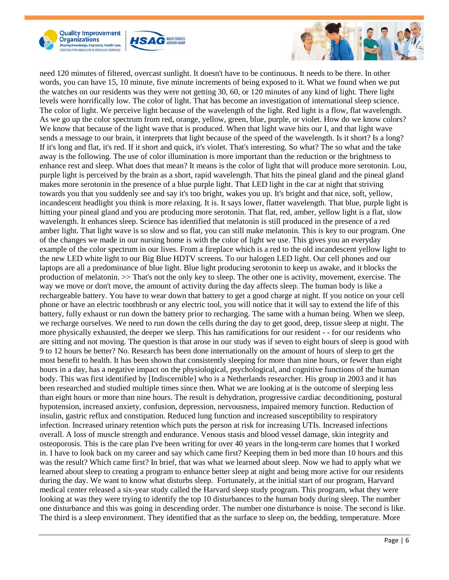





need 120 minutes of filtered, overcast sunlight. It doesn't have to be continuous. It needs to be there. In other words, you can have 15, 10 minute, five minute increments of being exposed to it. What we found when we put the watches on our residents was they were not getting 30, 60, or 120 minutes of any kind of light. There light levels were horrifically low. The color of light. That has become an investigation of international sleep science. The color of light. We perceive light because of the wavelength of the light. Red light is a flow, flat wavelength. As we go up the color spectrum from red, orange, yellow, green, blue, purple, or violet. How do we know colors? We know that because of the light wave that is produced. When that light wave hits our I, and that light wave sends a message to our brain, it interprets that light because of the speed of the wavelength. Is it short? Is a long? If it's long and flat, it's red. If it short and quick, it's violet. That's interesting. So what? The so what and the take away is the following. The use of color illumination is more important than the reduction or the brightness to enhance rest and sleep. What does that mean? It means is the color of light that will produce more serotonin. Lou, purple light is perceived by the brain as a short, rapid wavelength. That hits the pineal gland and the pineal gland makes more serotonin in the presence of a blue purple light. That LED light in the car at night that striving towards you that you suddenly see and say it's too bright, wakes you up. It's bright and that nice, soft, yellow, incandescent headlight you think is more relaxing. It is. It says lower, flatter wavelength. That blue, purple light is hitting your pineal gland and you are producing more serotonin. That flat, red, amber, yellow light is a flat, slow wavelength. It enhances sleep. Science has identified that melatonin is still produced in the presence of a red amber light. That light wave is so slow and so flat, you can still make melatonin. This is key to our program. One of the changes we made in our nursing home is with the color of light we use. This gives you an everyday example of the color spectrum in our lives. From a fireplace which is a red to the old incandescent yellow light to the new LED white light to our Big Blue HDTV screens. To our halogen LED light. Our cell phones and our laptops are all a predominance of blue light. Blue light producing serotonin to keep us awake, and it blocks the production of melatonin. >> That's not the only key to sleep. The other one is activity, movement, exercise. The way we move or don't move, the amount of activity during the day affects sleep. The human body is like a rechargeable battery. You have to wear down that battery to get a good charge at night. If you notice on your cell phone or have an electric toothbrush or any electric tool, you will notice that it will say to extend the life of this battery, fully exhaust or run down the battery prior to recharging. The same with a human being. When we sleep, we recharge ourselves. We need to run down the cells during the day to get good, deep, tissue sleep at night. The more physically exhausted, the deeper we sleep. This has ramifications for our resident - - for our residents who are sitting and not moving. The question is that arose in our study was if seven to eight hours of sleep is good with 9 to 12 hours be better? No. Research has been done internationally on the amount of hours of sleep to get the most benefit to health. It has been shown that consistently sleeping for more than nine hours, or fewer than eight hours in a day, has a negative impact on the physiological, psychological, and cognitive functions of the human body. This was first identified by [Indiscernible] who is a Netherlands researcher. His group in 2003 and it has been researched and studied multiple times since then. What we are looking at is the outcome of sleeping less than eight hours or more than nine hours. The result is dehydration, progressive cardiac deconditioning, postural hypotension, increased anxiety, confusion, depression, nervousness, impaired memory function. Reduction of insulin, gastric reflux and constipation. Reduced lung function and increased susceptibility to respiratory infection. Increased urinary retention which puts the person at risk for increasing UTIs. Increased infections overall. A loss of muscle strength and endurance. Venous stasis and blood vessel damage, skin integrity and osteoporosis. This is the care plan I've been writing for over 40 years in the long-term care homes that I worked in. I have to look back on my career and say which came first? Keeping them in bed more than 10 hours and this was the result? Which came first? In brief, that was what we learned about sleep. Now we had to apply what we learned about sleep to creating a program to enhance better sleep at night and being more active for our residents during the day. We want to know what disturbs sleep. Fortunately, at the initial start of our program, Harvard medical center released a six-year study called the Harvard sleep study program. This program, what they were looking at was they were trying to identify the top 10 disturbances to the human body during sleep. The number one disturbance and this was going in descending order. The number one disturbance is noise. The second is like. The third is a sleep environment. They identified that as the surface to sleep on, the bedding, temperature. More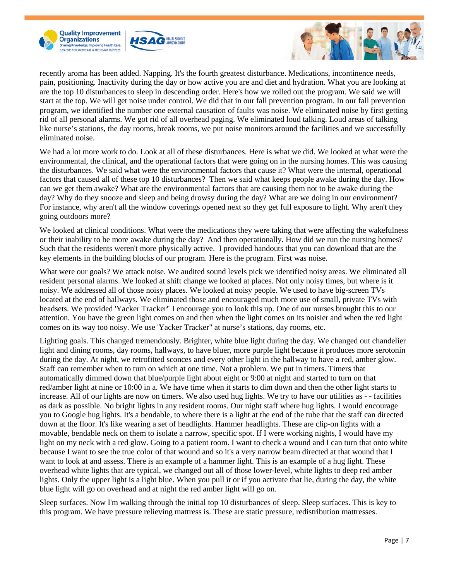





recently aroma has been added. Napping. It's the fourth greatest disturbance. Medications, incontinence needs, pain, positioning. Inactivity during the day or how active you are and diet and hydration. What you are looking at are the top 10 disturbances to sleep in descending order. Here's how we rolled out the program. We said we will start at the top. We will get noise under control. We did that in our fall prevention program. In our fall prevention program, we identified the number one external causation of faults was noise. We eliminated noise by first getting rid of all personal alarms. We got rid of all overhead paging. We eliminated loud talking. Loud areas of talking like nurse's stations, the day rooms, break rooms, we put noise monitors around the facilities and we successfully eliminated noise.

We had a lot more work to do. Look at all of these disturbances. Here is what we did. We looked at what were the environmental, the clinical, and the operational factors that were going on in the nursing homes. This was causing the disturbances. We said what were the environmental factors that cause it? What were the internal, operational factors that caused all of these top 10 disturbances? Then we said what keeps people awake during the day. How can we get them awake? What are the environmental factors that are causing them not to be awake during the day? Why do they snooze and sleep and being drowsy during the day? What are we doing in our environment? For instance, why aren't all the window coverings opened next so they get full exposure to light. Why aren't they going outdoors more?

We looked at clinical conditions. What were the medications they were taking that were affecting the wakefulness or their inability to be more awake during the day? And then operationally. How did we run the nursing homes? Such that the residents weren't more physically active. I provided handouts that you can download that are the key elements in the building blocks of our program. Here is the program. First was noise.

What were our goals? We attack noise. We audited sound levels pick we identified noisy areas. We eliminated all resident personal alarms. We looked at shift change we looked at places. Not only noisy times, but where is it noisy. We addressed all of those noisy places. We looked at noisy people. We used to have big-screen TVs located at the end of hallways. We eliminated those and encouraged much more use of small, private TVs with headsets. We provided 'Yacker Tracker" I encourage you to look this up. One of our nurses brought this to our attention. You have the green light comes on and then when the light comes on its noisier and when the red light comes on its way too noisy. We use 'Yacker Tracker" at nurse's stations, day rooms, etc.

Lighting goals. This changed tremendously. Brighter, white blue light during the day. We changed out chandelier light and dining rooms, day rooms, hallways, to have bluer, more purple light because it produces more serotonin during the day. At night, we retrofitted sconces and every other light in the hallway to have a red, amber glow. Staff can remember when to turn on which at one time. Not a problem. We put in timers. Timers that automatically dimmed down that blue/purple light about eight or 9:00 at night and started to turn on that red/amber light at nine or 10:00 in a. We have time when it starts to dim down and then the other light starts to increase. All of our lights are now on timers. We also used hug lights. We try to have our utilities as - - facilities as dark as possible. No bright lights in any resident rooms. Our night staff where hug lights. I would encourage you to Google hug lights. It's a bendable, to where there is a light at the end of the tube that the staff can directed down at the floor. It's like wearing a set of headlights. Hammer headlights. These are clip-on lights with a movable, bendable neck on them to isolate a narrow, specific spot. If I were working nights, I would have my light on my neck with a red glow. Going to a patient room. I want to check a wound and I can turn that onto white because I want to see the true color of that wound and so it's a very narrow beam directed at that wound that I want to look at and assess. There is an example of a hammer light. This is an example of a hug light. These overhead white lights that are typical, we changed out all of those lower-level, white lights to deep red amber lights. Only the upper light is a light blue. When you pull it or if you activate that lie, during the day, the white blue light will go on overhead and at night the red amber light will go on.

Sleep surfaces. Now I'm walking through the initial top 10 disturbances of sleep. Sleep surfaces. This is key to this program. We have pressure relieving mattress is. These are static pressure, redistribution mattresses.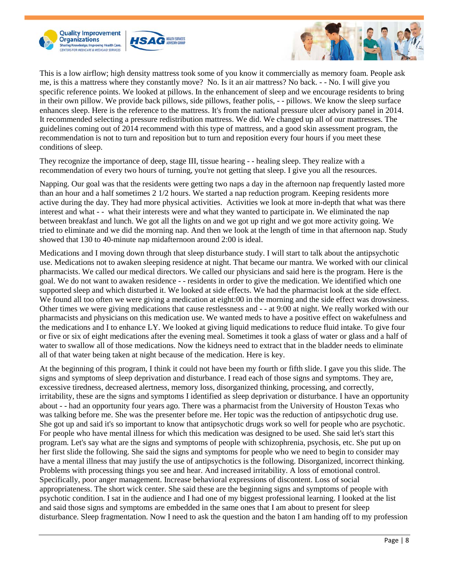





This is a low airflow; high density mattress took some of you know it commercially as memory foam. People ask me, is this a mattress where they constantly move? No. Is it an air mattress? No back. - - No. I will give you specific reference points. We looked at pillows. In the enhancement of sleep and we encourage residents to bring in their own pillow. We provide back pillows, side pillows, feather polis, - - pillows. We know the sleep surface enhances sleep. Here is the reference to the mattress. It's from the national pressure ulcer advisory panel in 2014. It recommended selecting a pressure redistribution mattress. We did. We changed up all of our mattresses. The guidelines coming out of 2014 recommend with this type of mattress, and a good skin assessment program, the recommendation is not to turn and reposition but to turn and reposition every four hours if you meet these conditions of sleep.

They recognize the importance of deep, stage III, tissue hearing - - healing sleep. They realize with a recommendation of every two hours of turning, you're not getting that sleep. I give you all the resources.

Napping. Our goal was that the residents were getting two naps a day in the afternoon nap frequently lasted more than an hour and a half sometimes 2 1/2 hours. We started a nap reduction program. Keeping residents more active during the day. They had more physical activities. Activities we look at more in-depth that what was there interest and what - - what their interests were and what they wanted to participate in. We eliminated the nap between breakfast and lunch. We got all the lights on and we got up right and we got more activity going. We tried to eliminate and we did the morning nap. And then we look at the length of time in that afternoon nap. Study showed that 130 to 40-minute nap midafternoon around 2:00 is ideal.

Medications and I moving down through that sleep disturbance study. I will start to talk about the antipsychotic use. Medications not to awaken sleeping residence at night. That became our mantra. We worked with our clinical pharmacists. We called our medical directors. We called our physicians and said here is the program. Here is the goal. We do not want to awaken residence - - residents in order to give the medication. We identified which one supported sleep and which disturbed it. We looked at side effects. We had the pharmacist look at the side effect. We found all too often we were giving a medication at eight:00 in the morning and the side effect was drowsiness. Other times we were giving medications that cause restlessness and - - at 9:00 at night. We really worked with our pharmacists and physicians on this medication use. We wanted meds to have a positive effect on wakefulness and the medications and I to enhance LY. We looked at giving liquid medications to reduce fluid intake. To give four or five or six of eight medications after the evening meal. Sometimes it took a glass of water or glass and a half of water to swallow all of those medications. Now the kidneys need to extract that in the bladder needs to eliminate all of that water being taken at night because of the medication. Here is key.

At the beginning of this program, I think it could not have been my fourth or fifth slide. I gave you this slide. The signs and symptoms of sleep deprivation and disturbance. I read each of those signs and symptoms. They are, excessive tiredness, decreased alertness, memory loss, disorganized thinking, processing, and correctly, irritability, these are the signs and symptoms I identified as sleep deprivation or disturbance. I have an opportunity about - - had an opportunity four years ago. There was a pharmacist from the University of Houston Texas who was talking before me. She was the presenter before me. Her topic was the reduction of antipsychotic drug use. She got up and said it's so important to know that antipsychotic drugs work so well for people who are psychotic. For people who have mental illness for which this medication was designed to be used. She said let's start this program. Let's say what are the signs and symptoms of people with schizophrenia, psychosis, etc. She put up on her first slide the following. She said the signs and symptoms for people who we need to begin to consider may have a mental illness that may justify the use of antipsychotics is the following. Disorganized, incorrect thinking. Problems with processing things you see and hear. And increased irritability. A loss of emotional control. Specifically, poor anger management. Increase behavioral expressions of discontent. Loss of social appropriateness. The short wick center. She said these are the beginning signs and symptoms of people with psychotic condition. I sat in the audience and I had one of my biggest professional learning. I looked at the list and said those signs and symptoms are embedded in the same ones that I am about to present for sleep disturbance. Sleep fragmentation. Now I need to ask the question and the baton I am handing off to my profession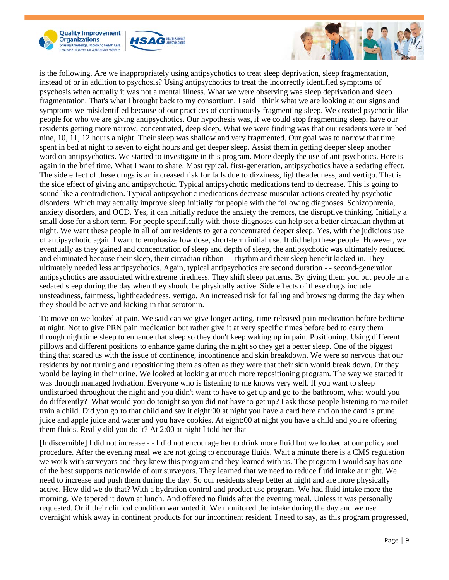





is the following. Are we inappropriately using antipsychotics to treat sleep deprivation, sleep fragmentation, instead of or in addition to psychosis? Using antipsychotics to treat the incorrectly identified symptoms of psychosis when actually it was not a mental illness. What we were observing was sleep deprivation and sleep fragmentation. That's what I brought back to my consortium. I said I think what we are looking at our signs and symptoms we misidentified because of our practices of continuously fragmenting sleep. We created psychotic like people for who we are giving antipsychotics. Our hypothesis was, if we could stop fragmenting sleep, have our residents getting more narrow, concentrated, deep sleep. What we were finding was that our residents were in bed nine, 10, 11, 12 hours a night. Their sleep was shallow and very fragmented. Our goal was to narrow that time spent in bed at night to seven to eight hours and get deeper sleep. Assist them in getting deeper sleep another word on antipsychotics. We started to investigate in this program. More deeply the use of antipsychotics. Here is again in the brief time. What I want to share. Most typical, first-generation, antipsychotics have a sedating effect. The side effect of these drugs is an increased risk for falls due to dizziness, lightheadedness, and vertigo. That is the side effect of giving and antipsychotic. Typical antipsychotic medications tend to decrease. This is going to sound like a contradiction. Typical antipsychotic medications decrease muscular actions created by psychotic disorders. Which may actually improve sleep initially for people with the following diagnoses. Schizophrenia, anxiety disorders, and OCD. Yes, it can initially reduce the anxiety the tremors, the disruptive thinking. Initially a small dose for a short term. For people specifically with those diagnoses can help set a better circadian rhythm at night. We want these people in all of our residents to get a concentrated deeper sleep. Yes, with the judicious use of antipsychotic again I want to emphasize low dose, short-term initial use. It did help these people. However, we eventually as they gained and concentration of sleep and depth of sleep, the antipsychotic was ultimately reduced and eliminated because their sleep, their circadian ribbon - - rhythm and their sleep benefit kicked in. They ultimately needed less antipsychotics. Again, typical antipsychotics are second duration - - second-generation antipsychotics are associated with extreme tiredness. They shift sleep patterns. By giving them you put people in a sedated sleep during the day when they should be physically active. Side effects of these drugs include unsteadiness, faintness, lightheadedness, vertigo. An increased risk for falling and browsing during the day when they should be active and kicking in that serotonin.

To move on we looked at pain. We said can we give longer acting, time-released pain medication before bedtime at night. Not to give PRN pain medication but rather give it at very specific times before bed to carry them through nighttime sleep to enhance that sleep so they don't keep waking up in pain. Positioning. Using different pillows and different positions to enhance game during the night so they get a better sleep. One of the biggest thing that scared us with the issue of continence, incontinence and skin breakdown. We were so nervous that our residents by not turning and repositioning them as often as they were that their skin would break down. Or they would be laying in their urine. We looked at looking at much more repositioning program. The way we started it was through managed hydration. Everyone who is listening to me knows very well. If you want to sleep undisturbed throughout the night and you didn't want to have to get up and go to the bathroom, what would you do differently? What would you do tonight so you did not have to get up? I ask those people listening to me toilet train a child. Did you go to that child and say it eight:00 at night you have a card here and on the card is prune juice and apple juice and water and you have cookies. At eight:00 at night you have a child and you're offering them fluids. Really did you do it? At 2:00 at night I told her that

[Indiscernible] I did not increase - - I did not encourage her to drink more fluid but we looked at our policy and procedure. After the evening meal we are not going to encourage fluids. Wait a minute there is a CMS regulation we work with surveyors and they knew this program and they learned with us. The program I would say has one of the best supports nationwide of our surveyors. They learned that we need to reduce fluid intake at night. We need to increase and push them during the day. So our residents sleep better at night and are more physically active. How did we do that? With a hydration control and product use program. We had fluid intake more the morning. We tapered it down at lunch. And offered no fluids after the evening meal. Unless it was personally requested. Or if their clinical condition warranted it. We monitored the intake during the day and we use overnight whisk away in continent products for our incontinent resident. I need to say, as this program progressed,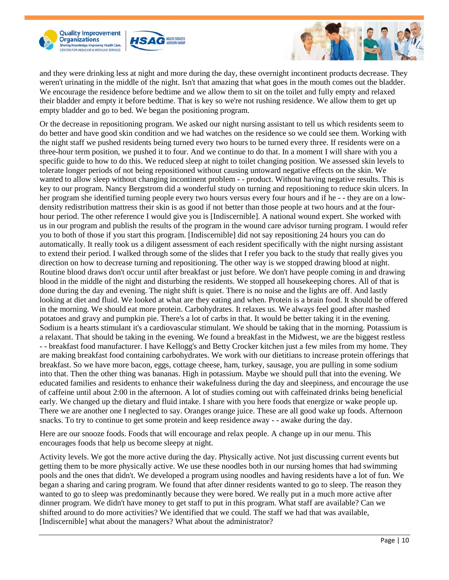





and they were drinking less at night and more during the day, these overnight incontinent products decrease. They weren't urinating in the middle of the night. Isn't that amazing that what goes in the mouth comes out the bladder. We encourage the residence before bedtime and we allow them to sit on the toilet and fully empty and relaxed their bladder and empty it before bedtime. That is key so we're not rushing residence. We allow them to get up empty bladder and go to bed. We began the positioning program.

Or the decrease in repositioning program. We asked our night nursing assistant to tell us which residents seem to do better and have good skin condition and we had watches on the residence so we could see them. Working with the night staff we pushed residents being turned every two hours to be turned every three. If residents were on a three-hour term position, we pushed it to four. And we continue to do that. In a moment I will share with you a specific guide to how to do this. We reduced sleep at night to toilet changing position. We assessed skin levels to tolerate longer periods of not being repositioned without causing untoward negative effects on the skin. We wanted to allow sleep without changing incontinent problem - - product. Without having negative results. This is key to our program. Nancy Bergstrom did a wonderful study on turning and repositioning to reduce skin ulcers. In her program she identified turning people every two hours versus every four hours and if he - - they are on a lowdensity redistribution mattress their skin is as good if not better than those people at two hours and at the fourhour period. The other reference I would give you is [Indiscernible]. A national wound expert. She worked with us in our program and publish the results of the program in the wound care advisor turning program. I would refer you to both of those if you start this program. [Indiscernible] did not say repositioning 24 hours you can do automatically. It really took us a diligent assessment of each resident specifically with the night nursing assistant to extend their period. I walked through some of the slides that I refer you back to the study that really gives you direction on how to decrease turning and repositioning. The other way is we stopped drawing blood at night. Routine blood draws don't occur until after breakfast or just before. We don't have people coming in and drawing blood in the middle of the night and disturbing the residents. We stopped all housekeeping chores. All of that is done during the day and evening. The night shift is quiet. There is no noise and the lights are off. And lastly looking at diet and fluid. We looked at what are they eating and when. Protein is a brain food. It should be offered in the morning. We should eat more protein. Carbohydrates. It relaxes us. We always feel good after mashed potatoes and gravy and pumpkin pie. There's a lot of carbs in that. It would be better taking it in the evening. Sodium is a hearts stimulant it's a cardiovascular stimulant. We should be taking that in the morning. Potassium is a relaxant. That should be taking in the evening. We found a breakfast in the Midwest, we are the biggest restless - - breakfast food manufacturer. I have Kellogg's and Betty Crocker kitchen just a few miles from my home. They are making breakfast food containing carbohydrates. We work with our dietitians to increase protein offerings that breakfast. So we have more bacon, eggs, cottage cheese, ham, turkey, sausage, you are pulling in some sodium into that. Then the other thing was bananas. High in potassium. Maybe we should pull that into the evening. We educated families and residents to enhance their wakefulness during the day and sleepiness, and encourage the use of caffeine until about 2:00 in the afternoon. A lot of studies coming out with caffeinated drinks being beneficial early. We changed up the dietary and fluid intake. I share with you here foods that energize or wake people up. There we are another one I neglected to say. Oranges orange juice. These are all good wake up foods. Afternoon snacks. To try to continue to get some protein and keep residence away - - awake during the day.

Here are our snooze foods. Foods that will encourage and relax people. A change up in our menu. This encourages foods that help us become sleepy at night.

Activity levels. We got the more active during the day. Physically active. Not just discussing current events but getting them to be more physically active. We use these noodles both in our nursing homes that had swimming pools and the ones that didn't. We developed a program using noodles and having residents have a lot of fun. We began a sharing and caring program. We found that after dinner residents wanted to go to sleep. The reason they wanted to go to sleep was predominantly because they were bored. We really put in a much more active after dinner program. We didn't have money to get staff to put in this program. What staff are available? Can we shifted around to do more activities? We identified that we could. The staff we had that was available, [Indiscernible] what about the managers? What about the administrator?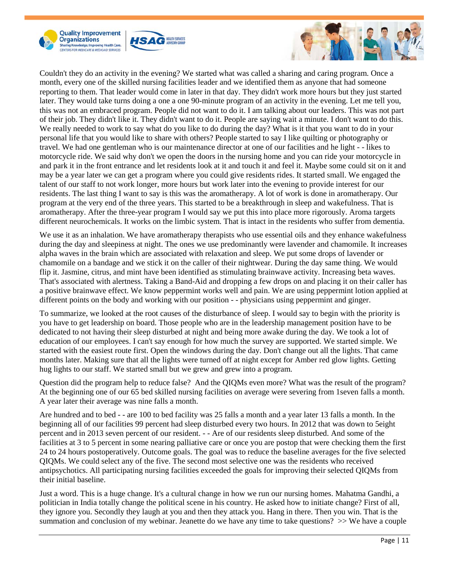





Couldn't they do an activity in the evening? We started what was called a sharing and caring program. Once a month, every one of the skilled nursing facilities leader and we identified them as anyone that had someone reporting to them. That leader would come in later in that day. They didn't work more hours but they just started later. They would take turns doing a one a one 90-minute program of an activity in the evening. Let me tell you, this was not an embraced program. People did not want to do it. I am talking about our leaders. This was not part of their job. They didn't like it. They didn't want to do it. People are saying wait a minute. I don't want to do this. We really needed to work to say what do you like to do during the day? What is it that you want to do in your personal life that you would like to share with others? People started to say I like quilting or photography or travel. We had one gentleman who is our maintenance director at one of our facilities and he light - - likes to motorcycle ride. We said why don't we open the doors in the nursing home and you can ride your motorcycle in and park it in the front entrance and let residents look at it and touch it and feel it. Maybe some could sit on it and may be a year later we can get a program where you could give residents rides. It started small. We engaged the talent of our staff to not work longer, more hours but work later into the evening to provide interest for our residents. The last thing I want to say is this was the aromatherapy. A lot of work is done in aromatherapy. Our program at the very end of the three years. This started to be a breakthrough in sleep and wakefulness. That is aromatherapy. After the three-year program I would say we put this into place more rigorously. Aroma targets different neurochemicals. It works on the limbic system. That is intact in the residents who suffer from dementia.

We use it as an inhalation. We have aromatherapy therapists who use essential oils and they enhance wakefulness during the day and sleepiness at night. The ones we use predominantly were lavender and chamomile. It increases alpha waves in the brain which are associated with relaxation and sleep. We put some drops of lavender or chamomile on a bandage and we stick it on the caller of their nightwear. During the day same thing. We would flip it. Jasmine, citrus, and mint have been identified as stimulating brainwave activity. Increasing beta waves. That's associated with alertness. Taking a Band-Aid and dropping a few drops on and placing it on their caller has a positive brainwave effect. We know peppermint works well and pain. We are using peppermint lotion applied at different points on the body and working with our position - - physicians using peppermint and ginger.

To summarize, we looked at the root causes of the disturbance of sleep. I would say to begin with the priority is you have to get leadership on board. Those people who are in the leadership management position have to be dedicated to not having their sleep disturbed at night and being more awake during the day. We took a lot of education of our employees. I can't say enough for how much the survey are supported. We started simple. We started with the easiest route first. Open the windows during the day. Don't change out all the lights. That came months later. Making sure that all the lights were turned off at night except for Amber red glow lights. Getting hug lights to our staff. We started small but we grew and grew into a program.

Question did the program help to reduce false? And the QIQMs even more? What was the result of the program? At the beginning one of our 65 bed skilled nursing facilities on average were severing from 1seven falls a month. A year later their average was nine falls a month.

Are hundred and to bed - - are 100 to bed facility was 25 falls a month and a year later 13 falls a month. In the beginning all of our facilities 99 percent had sleep disturbed every two hours. In 2012 that was down to 5eight percent and in 2013 seven percent of our resident. - - Are of our residents sleep disturbed. And some of the facilities at 3 to 5 percent in some nearing palliative care or once you are postop that were checking them the first 24 to 24 hours postoperatively. Outcome goals. The goal was to reduce the baseline averages for the five selected QIQMs. We could select any of the five. The second most selective one was the residents who received antipsychotics. All participating nursing facilities exceeded the goals for improving their selected QIQMs from their initial baseline.

Just a word. This is a huge change. It's a cultural change in how we run our nursing homes. Mahatma Gandhi, a politician in India totally change the political scene in his country. He asked how to initiate change? First of all, they ignore you. Secondly they laugh at you and then they attack you. Hang in there. Then you win. That is the summation and conclusion of my webinar. Jeanette do we have any time to take questions?  $\gg$  We have a couple